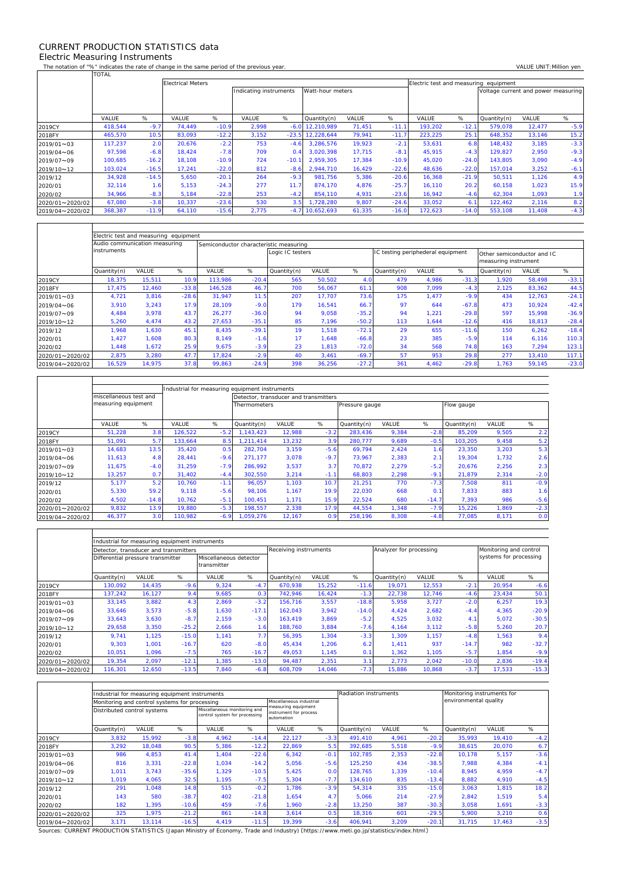## CURRENT PRODUCTION STATISTICS data Electric Measuring Instruments

 $\mathsf{r}$ 

 $\mathbf{r}$ 

 $\overline{\phantom{a}}$ 

٦

The notation of "%" indicates the rate of change in the same period of the previous year. VALUE UNIT:Million yen<br>TOTAL TOTAL

|                   |         |         | <b>Electrical Meters</b> |         |                        |         |                  |        |         |         | Electric test and measuring equipment |                                     |        |        |  |  |
|-------------------|---------|---------|--------------------------|---------|------------------------|---------|------------------|--------|---------|---------|---------------------------------------|-------------------------------------|--------|--------|--|--|
|                   |         |         |                          |         | Indicating instruments |         | Watt-hour meters |        |         |         |                                       | Voltage current and power measuring |        |        |  |  |
|                   |         |         |                          |         |                        |         |                  |        |         |         |                                       |                                     |        |        |  |  |
|                   |         |         |                          |         |                        |         |                  |        |         |         |                                       |                                     |        |        |  |  |
|                   | VALUE   | %       | VALUE                    | %       | VALUE                  | %       | Quantity(n)      | VALUE  | %       | VALUE   | %                                     | Quantity(n)                         | VALUE  | %      |  |  |
| 2019CY            | 418.544 | $-9.7$  | 74.449                   | $-10.9$ | 2.998                  | $-6.0$  | 12.210.989       | 71,451 | $-11.1$ | 193,202 | $-12.1$                               | 579,078                             | 12,477 | $-5.9$ |  |  |
| 2018FY            | 465,570 | 10.5    | 83,093                   | $-12.2$ | 3,152                  | $-23.5$ | 12,228,644       | 79,941 | $-11.7$ | 223,225 | 25.1                                  | 648,352                             | 13,146 | 15.2   |  |  |
| $2019/01 \sim 03$ | 117,237 | 2.0     | 20,676                   | $-2.2$  | 753                    | $-4.6$  | 3.286.576        | 19,923 | $-2.1$  | 53,631  | 6.8                                   | 148.432                             | 3,185  | $-3.3$ |  |  |
| 2019/04~06        | 97,598  | $-6.8$  | 18.424                   | $-7.8$  | 709                    | 0.4     | 3.020.398        | 17,715 | $-8.1$  | 45.915  | $-4.3$                                | 129.827                             | 2,950  | $-9.3$ |  |  |
| 2019/07~09        | 100.685 | $-16.2$ | 18.108                   | $-10.9$ | 724                    | $-10.7$ | 2.959.305        | 17,384 | $-10.9$ | 45.020  | $-24.0$                               | 143,805                             | 3,090  | $-4.9$ |  |  |
| 2019/10~12        | 103,024 | $-16.5$ | 17,241                   | $-22.0$ | 812                    | $-8.6$  | 2,944,710        | 16,429 | $-22.6$ | 48,636  | $-22.0$                               | 157,014                             | 3,252  | $-6.1$ |  |  |
| 2019/12           | 34,928  | $-14.5$ | 5,650                    | $-20.1$ | 264                    | $-9.3$  | 981.756          | 5,386  | $-20.6$ | 16,368  | $-21.9$                               | 50,511                              | 1,126  | 4.9    |  |  |
| 2020/01           | 32,114  | 1.6     | 5.153                    | $-24.3$ | 277                    | 11.7    | 874.170          | 4,876  | $-25.7$ | 16.110  | 20.2                                  | 60.158                              | 1,023  | 15.9   |  |  |
| 2020/02           | 34,966  | $-8.3$  | 5,184                    | $-22.8$ | 253                    | $-4.2$  | 854,110          | 4,931  | $-23.6$ | 16,942  | $-4.6$                                | 62,304                              | 1,093  | 1.9    |  |  |
| 2020/01~2020/02   | 67,080  | $-3.8$  | 10,337                   | $-23.6$ | 530                    | 3.5     | 1,728,280        | 9,807  | $-24.6$ | 33,052  | 6.1                                   | 122,462                             | 2,116  | 8.2    |  |  |
| 2019/04~2020/02   | 368,387 | $-11.9$ | 64,110                   | $-15.6$ | 2,775                  | $-4.7$  | 10.652.693       | 61,335 | $-16.0$ | 172,623 | $-14.0$                               | 553,108                             | 11,408 | $-4.3$ |  |  |

|                 | Electric test and measuring equipment |        |         |                                        |         |                  |        |         |                                   |       |         |                                                    |        |         |  |  |
|-----------------|---------------------------------------|--------|---------|----------------------------------------|---------|------------------|--------|---------|-----------------------------------|-------|---------|----------------------------------------------------|--------|---------|--|--|
|                 | Audio communication measuring         |        |         | Semiconductor characteristic measuring |         |                  |        |         |                                   |       |         |                                                    |        |         |  |  |
|                 | <i>instruments</i>                    |        |         |                                        |         | Logic IC testers |        |         | IC testing periphederal equipment |       |         | Other semiconductor and IC<br>measuring instrument |        |         |  |  |
|                 | Quantity(n)                           | VALUE  | %       | VALUE                                  | %       | Quantity(n)      | VALUE  | %       | Quantity(n)                       | VALUE | %       | Quantity(n)                                        | VALUE  | %       |  |  |
| 2019CY          | 18,375                                | 15,511 | 10.9    | 113,986                                | $-20.4$ | 565              | 50,502 | 4.0     | 479                               | 4,986 | $-31.3$ | 1,920                                              | 58,498 | $-33.1$ |  |  |
| 2018FY          | 17,475                                | 12.460 | $-33.8$ | 146,528                                | 46.7    | 700              | 56,067 | 61.1    | 908                               | 7,099 | $-4.3$  | 2,125                                              | 83,362 | 44.5    |  |  |
| 2019/01~03      | 4,721                                 | 3,816  | $-28.6$ | 31,947                                 | 11.5    | 207              | 17.707 | 73.6    | 175                               | 1,477 | $-9.9$  | 434                                                | 12,763 | $-24.1$ |  |  |
| 2019/04~06      | 3,910                                 | 3,243  | 17.9    | 28.109                                 | $-9.0$  | 179              | 16.541 | 66.7    | 97                                | 644   | $-67.8$ | 473                                                | 10,924 | $-42.4$ |  |  |
| 2019/07~09      | 4.484                                 | 3.978  | 43.7    | 26.277                                 | $-36.0$ | 94               | 9,058  | $-35.2$ | 94                                | 1,221 | $-29.8$ | 597                                                | 15,998 | $-36.9$ |  |  |
| 2019/10~12      | 5,260                                 | 4.474  | 43.2    | 27.653                                 | $-35.1$ | 85               | 7.196  | $-50.2$ | 113                               | 1.644 | $-12.6$ | 416                                                | 18,813 | $-28.4$ |  |  |
| 2019/12         | 1.968                                 | 1,630  | 45.1    | 8,435                                  | $-39.1$ | 19               | 1.518  | $-72.1$ | 29                                | 655   | $-11.6$ | 150                                                | 6,262  | $-18.4$ |  |  |
| 2020/01         | 1,427                                 | 1,608  | 80.3    | 8.149                                  | $-1.6$  | 17               | 1.648  | $-66.8$ | 23                                | 385   | $-5.9$  | 114                                                | 6,116  | 110.3   |  |  |
| 2020/02         | .448                                  | 1.672  | 25.9    | 9,675                                  | $-3.9$  | 23               | 1.813  | $-72.0$ | 34                                | 568   | 74.8    | 163                                                | 7,294  | 123.1   |  |  |
| 2020/01~2020/02 | 2,875                                 | 3,280  | 47.7    | 17.824                                 | $-2.9$  | 40               | 3,461  | $-69.7$ | 57                                | 953   | 29.8    | 277                                                | 13,410 | 117.1   |  |  |
| 2019/04~2020/02 | 16,529                                | 14,975 | 37.8    | 99,863                                 | $-24.9$ | 398              | 36,256 | $-27.2$ | 361                               | 4,462 | $-29.8$ | 1,763                                              | 59,145 | $-23.0$ |  |  |

|                 | miscellaneous test and |         |         |        | Detector, transducer and transmitters |        |        |                |       |         |             |       |        |  |
|-----------------|------------------------|---------|---------|--------|---------------------------------------|--------|--------|----------------|-------|---------|-------------|-------|--------|--|
|                 | measuring equipment    |         |         |        | <b>Thermometers</b>                   |        |        | Pressure gauge |       |         | Flow gauge  |       |        |  |
|                 |                        |         |         |        |                                       |        |        |                |       |         |             |       |        |  |
|                 | VALUE                  | %       | VALUE   | %      | Quantity(n)                           | VALUE  | %      | Quantity(n)    | VALUE | %       | Quantity(n) | VALUE | %      |  |
| 2019CY          | 51,228                 | 3.8     | 126,522 | $-5.2$ | 1.143.423                             | 12,988 | $-3.2$ | 283,436        | 9,384 | $-2.8$  | 85,209      | 9,505 | 2.2    |  |
| 2018FY          | 51,091                 | 5.7     | 133.664 | 8.5    | 1.211.414                             | 13,232 | 3.9    | 280.777        | 9,689 | $-0.5$  | 103.205     | 9,458 | 5.2    |  |
| 2019/01~03      | 14,683                 | 13.5    | 35.420  | 0.5    | 282.704                               | 3,159  | $-5.6$ | 69.794         | 2,424 | 1.6     | 23,350      | 3,203 | 5.3    |  |
| 2019/04~06      | 11,613                 | 4.8     | 28.441  | $-9.6$ | 271.177                               | 3,078  | $-9.7$ | 73.967         | 2,383 | 2.1     | 19,304      | 1,732 | 2.6    |  |
| 2019/07~09      | 11,675                 | $-4.0$  | 31.259  | $-7.9$ | 286.992                               | 3,537  | 3.7    | 70.872         | 2,279 | $-5.2$  | 20,676      | 2,256 | 2.3    |  |
| 2019/10~12      | 13,257                 | 0.7     | 31.402  | $-4.4$ | 302.550                               | 3,214  | $-1.1$ | 68,803         | 2,298 | $-9.1$  | 21.879      | 2,314 | $-2.0$ |  |
| 2019/12         | 5.177                  | 5.2     | 10.760  | $-1.1$ | 96.057                                | 1.103  | 10.7   | 21.251         | 770   | $-7.3$  | 7.508       | 811   | $-0.9$ |  |
| 2020/01         | 5,330                  | 59.2    | 9,118   | $-5.6$ | 98.106                                | 1,167  | 19.9   | 22,030         | 668   | 0.1     | 7,833       | 883   | 1.6    |  |
| 2020/02         | 4,502                  | $-14.8$ | 10.762  | $-5.1$ | 100.451                               | 1.171  | 15.9   | 22.524         | 680   | $-14.7$ | 7.393       | 986   | $-5.6$ |  |
| 2020/01~2020/02 | 9,832                  | 13.9    | 19,880  | $-5.3$ | 198.557                               | 2,338  | 17.9   | 44,554         | 1.348 | $-7.9$  | 15,226      | 1,869 | $-2.3$ |  |
| 2019/04~2020/02 | 46,377                 | 3.0     | 110,982 | $-6.9$ | 1,059,276                             | 12,167 | 0.9    | 258,196        | 8,308 | $-4.8$  | 77,085      | 8,171 | 0.0    |  |

|                 | Industrial for measuring equipment instruments |              |         |                                       |         |             |                        |         |             |                         |                        |        |         |  |  |
|-----------------|------------------------------------------------|--------------|---------|---------------------------------------|---------|-------------|------------------------|---------|-------------|-------------------------|------------------------|--------|---------|--|--|
|                 | Detector, transducer and transmitters          |              |         |                                       |         |             | Receiving instrruments |         |             | Analyzer for processing | Monitoring and control |        |         |  |  |
|                 | Differential pressure transmitter              |              |         | Miscellaneous detector<br>transmitter |         |             |                        |         |             |                         | systems for processing |        |         |  |  |
|                 | Quantity(n)                                    | <b>VALUE</b> | %       | VALUE                                 | %       | Quantity(n) | VALUE                  | %       | Quantity(n) | VALUE                   | %                      | VALUE  | %       |  |  |
| 2019CY          | 130.092                                        | 14.435       | $-9.6$  | 9,324                                 | $-4.7$  | 670.938     | 15,252                 | $-11.6$ | 19.071      | 12,553                  | $-2.1$                 | 20,954 | $-6.6$  |  |  |
| 2018FY          | 137.242                                        | 16,127       | 9.4     | 9,685                                 | 0.3     | 742.946     | 16,424                 | $-1.3$  | 22.738      | 12,746                  | $-4.6$                 | 23,434 | 50.1    |  |  |
| 2019/01~03      | 33,145                                         | 3,882        | 4.3     | 2,869                                 | $-3.2$  | 156.716     | 3,557                  | $-18.8$ | 5,958       | 3,727                   | $-2.0$                 | 6,257  | 19.3    |  |  |
| 2019/04~06      | 33,646                                         | 3,573        | $-5.8$  | 1.630                                 | $-17.1$ | 162.043     | 3,942                  | $-14.0$ | 4.424       | 2,682                   | $-4.4$                 | 4,365  | $-20.9$ |  |  |
| 2019/07~09      | 33,643                                         | 3,630        | $-8.7$  | 2,159                                 | $-3.0$  | 163.419     | 3,869                  | $-5.2$  | 4,525       | 3,032                   | 4.1                    | 5,072  | $-30.5$ |  |  |
| 2019/10~12      | 29,658                                         | 3,350        | $-25.2$ | 2,666                                 | 1.6     | 188.760     | 3,884                  | $-7.6$  | 4,164       | 3,112                   | $-5.8$                 | 5,260  | 20.7    |  |  |
| 2019/12         | 9,741                                          | 1,125        | $-15.0$ | 1.141                                 | 7.7     | 56,395      | 1,304                  | $-3.3$  | 1,309       | 1,157                   | $-4.8$                 | 1,563  | 9.4     |  |  |
| 2020/01         | 9,303                                          | 1,001        | $-16.7$ | 620                                   | $-8.0$  | 45,434      | 1,206                  | 6.2     | 1.411       | 937                     | $-14.7$                | 982    | $-32.7$ |  |  |
| 2020/02         | 10,051                                         | 1,096        | $-7.5$  | 765                                   | $-16.7$ | 49,053      | 1,145                  | 0.1     | 1,362       | 1,105                   | $-5.7$                 | 1,854  | $-9.9$  |  |  |
| 2020/01~2020/02 | 19,354                                         | 2,097        | $-12.1$ | 1,385                                 | $-13.0$ | 94,487      | 2,351                  | 3.1     | 2,773       | 2,042                   | $-10.0$                | 2,836  | $-19.4$ |  |  |
| 2019/04~2020/02 | 116,301                                        | 12,650       | $-13.5$ | 7,840                                 | $-6.8$  | 608,709     | 14,046                 | $-7.3$  | 15,886      | 10,868                  | $-3.7$                 | 17,533 | $-15.3$ |  |  |

|                 |             | Industrial for measuring equipment instruments |         |                                                               |         | <b>Radiation instruments</b>                                |        |             | Monitoring instruments for |         |                       |        |        |  |
|-----------------|-------------|------------------------------------------------|---------|---------------------------------------------------------------|---------|-------------------------------------------------------------|--------|-------------|----------------------------|---------|-----------------------|--------|--------|--|
|                 |             | Monitoring and control systems for processing  |         |                                                               |         | Miscellaneous industrial                                    |        |             |                            |         | environmental quality |        |        |  |
|                 |             | Distributed control systems                    |         | Miscellaneous monitoring and<br>control system for processing |         | measuring equipment<br>instrument for process<br>automation |        |             |                            |         |                       |        |        |  |
|                 | Quantity(n) | VALUE                                          | %       | VALUE                                                         | %       | VALUE                                                       | %      | Quantity(n) | VALUE                      | %       | Quantity(n)           | VALUE  | %      |  |
| 2019CY          | 3,832       | 15,992                                         | $-3.8$  | 4,962                                                         | $-14.4$ | 22,127                                                      | $-3.3$ | 491,410     | 4,961                      | $-20.2$ | 35,993                | 19,410 | $-4.2$ |  |
| 2018FY          | 3,292       | 18.048                                         | 90.5    | 5,386                                                         | $-12.2$ | 22,869                                                      | 5.5    | 392.685     | 5,518                      | $-9.9$  | 38,615                | 20.070 | 6.7    |  |
| 2019/01~03      | 986         | 4.853                                          | 41.4    | 1.404                                                         | $-22.6$ | 6.342                                                       | $-0.1$ | 102.785     | 2,353                      | $-22.8$ | 10.178                | 5,157  | $-3.6$ |  |
| 2019/04~06      | 816         | 3.331                                          | $-22.8$ | 1.034                                                         | $-14.2$ | 5,056                                                       | $-5.6$ | 125.250     | 434                        | $-38.5$ | 7.988                 | 4,384  | $-4.1$ |  |
| 2019/07~09      | 1,011       | 3,743                                          | $-35.6$ | 1,329                                                         | $-10.5$ | 5,425                                                       | 0.0    | 128.765     | 1,339                      | $-10.4$ | 8,945                 | 4,959  | $-4.7$ |  |
| 2019/10~12      | 1,019       | 4,065                                          | 32.5    | 1,195                                                         | $-7.5$  | 5,304                                                       | $-7.7$ | 134,610     | 835                        | $-13.4$ | 8,882                 | 4,910  | $-4.5$ |  |
| 2019/12         | 291         | 1,048                                          | 14.8    | 515                                                           | $-0.2$  | 1.786                                                       | $-3.9$ | 54,314      | 335                        | $-15.0$ | 3,063                 | 1,815  | 18.2   |  |
| 2020/01         | 143         | 580                                            | $-38.7$ | 402                                                           | $-21.8$ | 1,654                                                       | 4.7    | 5,066       | 214                        | $-27.9$ | 2,842                 | 1,519  | 5.4    |  |
| 2020/02         | 182         | 1,395                                          | $-10.6$ | 459                                                           | $-7.6$  | 1,960                                                       | $-2.8$ | 13,250      | 387                        | $-30.3$ | 3,058                 | 1,691  | $-3.3$ |  |
| 2020/01~2020/02 | 325         | 1,975                                          | $-21.2$ | 861                                                           | $-14.8$ | 3,614                                                       | 0.5    | 18,316      | 601                        | $-29.5$ | 5,900                 | 3,210  | 0.6    |  |
| 2019/04~2020/02 | 3,171       | 13,114                                         | $-16.5$ | 4,419                                                         | $-11.5$ | 19,399                                                      | $-3.6$ | 406.941     | 3,209                      | $-20.1$ | 31.715                | 17.463 | $-3.5$ |  |

Sources: CURRENT PRODUCTION STATISTICS (Japan Ministry of Economy, Trade and Industry) 〔https://www.meti.go.jp/statistics/index.html〕